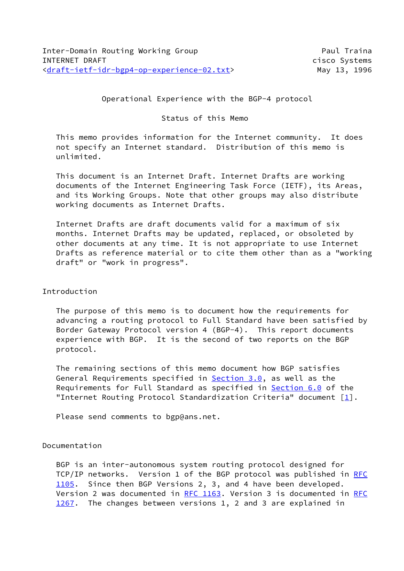Operational Experience with the BGP-4 protocol

Status of this Memo

 This memo provides information for the Internet community. It does not specify an Internet standard. Distribution of this memo is unlimited.

 This document is an Internet Draft. Internet Drafts are working documents of the Internet Engineering Task Force (IETF), its Areas, and its Working Groups. Note that other groups may also distribute working documents as Internet Drafts.

 Internet Drafts are draft documents valid for a maximum of six months. Internet Drafts may be updated, replaced, or obsoleted by other documents at any time. It is not appropriate to use Internet Drafts as reference material or to cite them other than as a "working draft" or "work in progress".

# Introduction

 The purpose of this memo is to document how the requirements for advancing a routing protocol to Full Standard have been satisfied by Border Gateway Protocol version 4 (BGP-4). This report documents experience with BGP. It is the second of two reports on the BGP protocol.

 The remaining sections of this memo document how BGP satisfies General Requirements specified in Section 3.0, as well as the Requirements for Full Standard as specified in Section 6.0 of the "Internet Routing Protocol Standardization Criteria" document  $[1]$  $[1]$ .

Please send comments to bgp@ans.net.

# Documentation

 BGP is an inter-autonomous system routing protocol designed for TCP/IP networks. Version 1 of the BGP protocol was published in [RFC](https://datatracker.ietf.org/doc/pdf/rfc1105) [1105](https://datatracker.ietf.org/doc/pdf/rfc1105). Since then BGP Versions 2, 3, and 4 have been developed. Version 2 was documented in [RFC 1163.](https://datatracker.ietf.org/doc/pdf/rfc1163) Version 3 is documented in [RFC](https://datatracker.ietf.org/doc/pdf/rfc1267) [1267](https://datatracker.ietf.org/doc/pdf/rfc1267). The changes between versions 1, 2 and 3 are explained in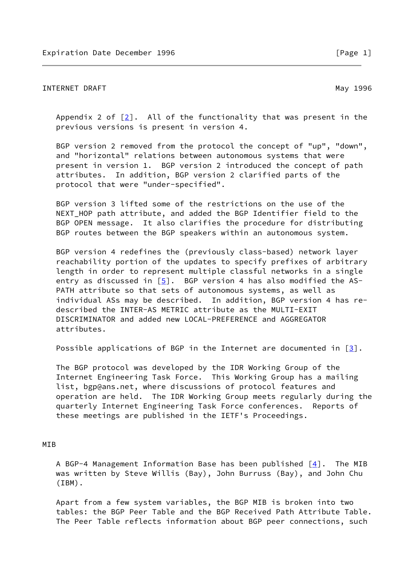# INTERNET DRAFT NAMEL AND THE SERVICE OF THE MAIN MAY 1996

 Appendix 2 of [[2\]](#page-8-1). All of the functionality that was present in the previous versions is present in version 4.

 BGP version 2 removed from the protocol the concept of "up", "down", and "horizontal" relations between autonomous systems that were present in version 1. BGP version 2 introduced the concept of path attributes. In addition, BGP version 2 clarified parts of the protocol that were "under-specified".

 BGP version 3 lifted some of the restrictions on the use of the NEXT\_HOP path attribute, and added the BGP Identifier field to the BGP OPEN message. It also clarifies the procedure for distributing BGP routes between the BGP speakers within an autonomous system.

 BGP version 4 redefines the (previously class-based) network layer reachability portion of the updates to specify prefixes of arbitrary length in order to represent multiple classful networks in a single entry as discussed in  $[5]$  $[5]$ . BGP version 4 has also modified the AS- PATH attribute so that sets of autonomous systems, as well as individual ASs may be described. In addition, BGP version 4 has re described the INTER-AS METRIC attribute as the MULTI-EXIT DISCRIMINATOR and added new LOCAL-PREFERENCE and AGGREGATOR attributes.

Possible applications of BGP in the Internet are documented in  $\lceil 3 \rceil$ .

 The BGP protocol was developed by the IDR Working Group of the Internet Engineering Task Force. This Working Group has a mailing list, bgp@ans.net, where discussions of protocol features and operation are held. The IDR Working Group meets regularly during the quarterly Internet Engineering Task Force conferences. Reports of these meetings are published in the IETF's Proceedings.

# MIB

A BGP-4 Management Information Base has been published  $[4]$  $[4]$ . The MIB was written by Steve Willis (Bay), John Burruss (Bay), and John Chu (IBM).

 Apart from a few system variables, the BGP MIB is broken into two tables: the BGP Peer Table and the BGP Received Path Attribute Table. The Peer Table reflects information about BGP peer connections, such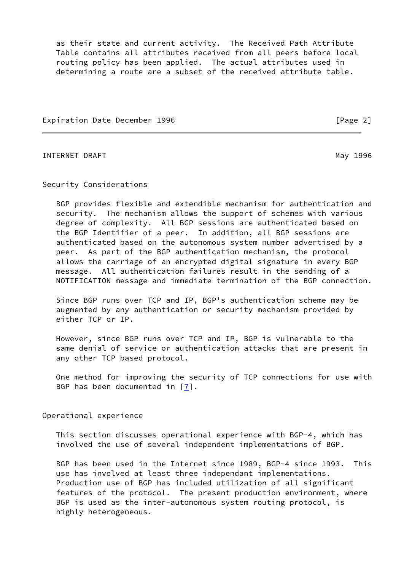as their state and current activity. The Received Path Attribute Table contains all attributes received from all peers before local routing policy has been applied. The actual attributes used in determining a route are a subset of the received attribute table.

Expiration Date December 1996 **Expiration** [Page 2]

INTERNET DRAFT NEWSLET AND THE SERVICE OF THE SERVICE OF THE MAY 1996

Security Considerations

 BGP provides flexible and extendible mechanism for authentication and security. The mechanism allows the support of schemes with various degree of complexity. All BGP sessions are authenticated based on the BGP Identifier of a peer. In addition, all BGP sessions are authenticated based on the autonomous system number advertised by a peer. As part of the BGP authentication mechanism, the protocol allows the carriage of an encrypted digital signature in every BGP message. All authentication failures result in the sending of a NOTIFICATION message and immediate termination of the BGP connection.

 Since BGP runs over TCP and IP, BGP's authentication scheme may be augmented by any authentication or security mechanism provided by either TCP or IP.

 However, since BGP runs over TCP and IP, BGP is vulnerable to the same denial of service or authentication attacks that are present in any other TCP based protocol.

 One method for improving the security of TCP connections for use with BGP has been documented in [[7\]](#page-9-3).

Operational experience

 This section discusses operational experience with BGP-4, which has involved the use of several independent implementations of BGP.

 BGP has been used in the Internet since 1989, BGP-4 since 1993. This use has involved at least three independant implementations. Production use of BGP has included utilization of all significant features of the protocol. The present production environment, where BGP is used as the inter-autonomous system routing protocol, is highly heterogeneous.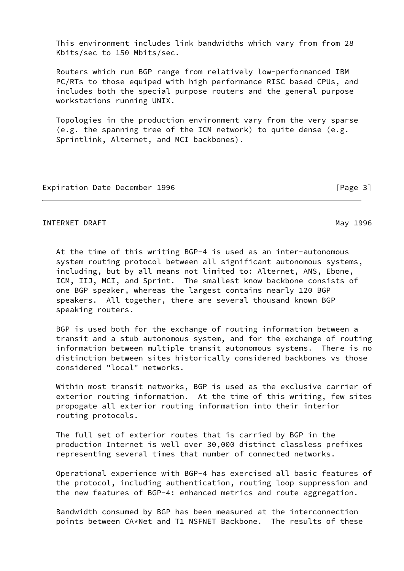This environment includes link bandwidths which vary from from 28 Kbits/sec to 150 Mbits/sec.

 Routers which run BGP range from relatively low-performanced IBM PC/RTs to those equiped with high performance RISC based CPUs, and includes both the special purpose routers and the general purpose workstations running UNIX.

 Topologies in the production environment vary from the very sparse (e.g. the spanning tree of the ICM network) to quite dense (e.g. Sprintlink, Alternet, and MCI backbones).

Expiration Date December 1996 **and Server 2008** [Page 3]

## INTERNET DRAFT NEXT AND THE SERIES OF THE SERIES OF THE MAY 1996

 At the time of this writing BGP-4 is used as an inter-autonomous system routing protocol between all significant autonomous systems, including, but by all means not limited to: Alternet, ANS, Ebone, ICM, IIJ, MCI, and Sprint. The smallest know backbone consists of one BGP speaker, whereas the largest contains nearly 120 BGP speakers. All together, there are several thousand known BGP speaking routers.

 BGP is used both for the exchange of routing information between a transit and a stub autonomous system, and for the exchange of routing information between multiple transit autonomous systems. There is no distinction between sites historically considered backbones vs those considered "local" networks.

 Within most transit networks, BGP is used as the exclusive carrier of exterior routing information. At the time of this writing, few sites propogate all exterior routing information into their interior routing protocols.

 The full set of exterior routes that is carried by BGP in the production Internet is well over 30,000 distinct classless prefixes representing several times that number of connected networks.

 Operational experience with BGP-4 has exercised all basic features of the protocol, including authentication, routing loop suppression and the new features of BGP-4: enhanced metrics and route aggregation.

 Bandwidth consumed by BGP has been measured at the interconnection points between CA\*Net and T1 NSFNET Backbone. The results of these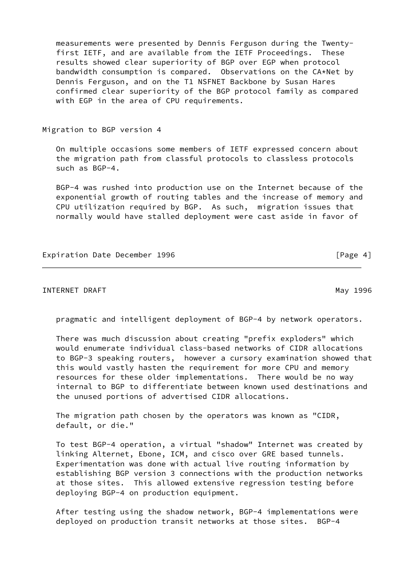measurements were presented by Dennis Ferguson during the Twenty first IETF, and are available from the IETF Proceedings. These results showed clear superiority of BGP over EGP when protocol bandwidth consumption is compared. Observations on the CA\*Net by Dennis Ferguson, and on the T1 NSFNET Backbone by Susan Hares confirmed clear superiority of the BGP protocol family as compared with EGP in the area of CPU requirements.

#### Migration to BGP version 4

 On multiple occasions some members of IETF expressed concern about the migration path from classful protocols to classless protocols such as BGP-4.

 BGP-4 was rushed into production use on the Internet because of the exponential growth of routing tables and the increase of memory and CPU utilization required by BGP. As such, migration issues that normally would have stalled deployment were cast aside in favor of

Expiration Date December 1996 **and Server 2018** [Page 4]

INTERNET DRAFT NEWSLET AND THE SERVICE OF THE SERVICE OF THE MAY 1996

pragmatic and intelligent deployment of BGP-4 by network operators.

 There was much discussion about creating "prefix exploders" which would enumerate individual class-based networks of CIDR allocations to BGP-3 speaking routers, however a cursory examination showed that this would vastly hasten the requirement for more CPU and memory resources for these older implementations. There would be no way internal to BGP to differentiate between known used destinations and the unused portions of advertised CIDR allocations.

 The migration path chosen by the operators was known as "CIDR, default, or die."

 To test BGP-4 operation, a virtual "shadow" Internet was created by linking Alternet, Ebone, ICM, and cisco over GRE based tunnels. Experimentation was done with actual live routing information by establishing BGP version 3 connections with the production networks at those sites. This allowed extensive regression testing before deploying BGP-4 on production equipment.

 After testing using the shadow network, BGP-4 implementations were deployed on production transit networks at those sites. BGP-4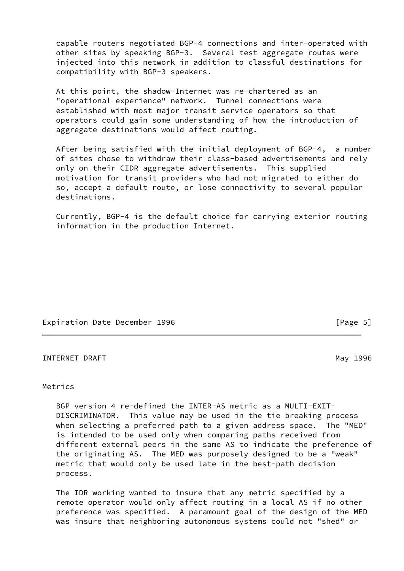capable routers negotiated BGP-4 connections and inter-operated with other sites by speaking BGP-3. Several test aggregate routes were injected into this network in addition to classful destinations for compatibility with BGP-3 speakers.

 At this point, the shadow-Internet was re-chartered as an "operational experience" network. Tunnel connections were established with most major transit service operators so that operators could gain some understanding of how the introduction of aggregate destinations would affect routing.

 After being satisfied with the initial deployment of BGP-4, a number of sites chose to withdraw their class-based advertisements and rely only on their CIDR aggregate advertisements. This supplied motivation for transit providers who had not migrated to either do so, accept a default route, or lose connectivity to several popular destinations.

 Currently, BGP-4 is the default choice for carrying exterior routing information in the production Internet.

Expiration Date December 1996 **and Server 2018** [Page 5]

INTERNET DRAFT MAY 1996

## Metrics

 BGP version 4 re-defined the INTER-AS metric as a MULTI-EXIT- DISCRIMINATOR. This value may be used in the tie breaking process when selecting a preferred path to a given address space. The "MED" is intended to be used only when comparing paths received from different external peers in the same AS to indicate the preference of the originating AS. The MED was purposely designed to be a "weak" metric that would only be used late in the best-path decision process.

 The IDR working wanted to insure that any metric specified by a remote operator would only affect routing in a local AS if no other preference was specified. A paramount goal of the design of the MED was insure that neighboring autonomous systems could not "shed" or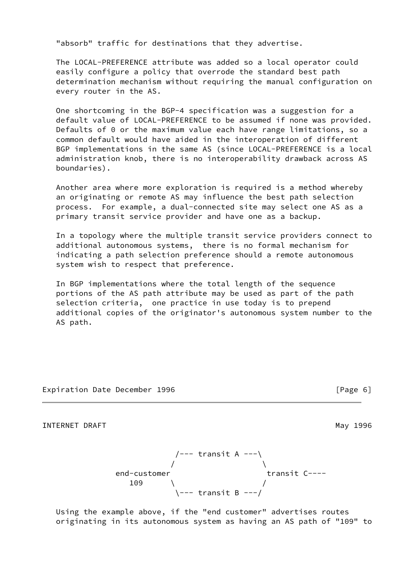"absorb" traffic for destinations that they advertise.

 The LOCAL-PREFERENCE attribute was added so a local operator could easily configure a policy that overrode the standard best path determination mechanism without requiring the manual configuration on every router in the AS.

 One shortcoming in the BGP-4 specification was a suggestion for a default value of LOCAL-PREFERENCE to be assumed if none was provided. Defaults of 0 or the maximum value each have range limitations, so a common default would have aided in the interoperation of different BGP implementations in the same AS (since LOCAL-PREFERENCE is a local administration knob, there is no interoperability drawback across AS boundaries).

 Another area where more exploration is required is a method whereby an originating or remote AS may influence the best path selection process. For example, a dual-connected site may select one AS as a primary transit service provider and have one as a backup.

 In a topology where the multiple transit service providers connect to additional autonomous systems, there is no formal mechanism for indicating a path selection preference should a remote autonomous system wish to respect that preference.

 In BGP implementations where the total length of the sequence portions of the AS path attribute may be used as part of the path selection criteria, one practice in use today is to prepend additional copies of the originator's autonomous system number to the AS path.

Expiration Date December 1996 [Page 6]

INTERNET DRAFT NAMEL AND THE SERVICE OF THE SERVICE OF THE MAY 1996

 /--- transit A ---\  $/$ end-customer transit C---- $109$   $/$ \--- transit B ---/

 Using the example above, if the "end customer" advertises routes originating in its autonomous system as having an AS path of "109" to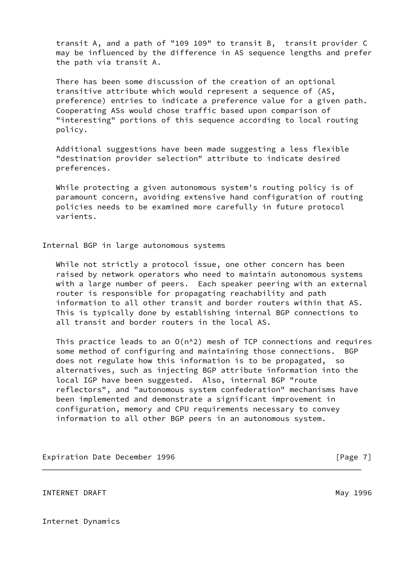transit A, and a path of "109 109" to transit B, transit provider C may be influenced by the difference in AS sequence lengths and prefer the path via transit A.

 There has been some discussion of the creation of an optional transitive attribute which would represent a sequence of (AS, preference) entries to indicate a preference value for a given path. Cooperating ASs would chose traffic based upon comparison of "interesting" portions of this sequence according to local routing policy.

 Additional suggestions have been made suggesting a less flexible "destination provider selection" attribute to indicate desired preferences.

 While protecting a given autonomous system's routing policy is of paramount concern, avoiding extensive hand configuration of routing policies needs to be examined more carefully in future protocol varients.

Internal BGP in large autonomous systems

While not strictly a protocol issue, one other concern has been raised by network operators who need to maintain autonomous systems with a large number of peers. Each speaker peering with an external router is responsible for propagating reachability and path information to all other transit and border routers within that AS. This is typically done by establishing internal BGP connections to all transit and border routers in the local AS.

 This practice leads to an O(n^2) mesh of TCP connections and requires some method of configuring and maintaining those connections. BGP does not regulate how this information is to be propagated, so alternatives, such as injecting BGP attribute information into the local IGP have been suggested. Also, internal BGP "route reflectors", and "autonomous system confederation" mechanisms have been implemented and demonstrate a significant improvement in configuration, memory and CPU requirements necessary to convey information to all other BGP peers in an autonomous system.

Expiration Date December 1996 **Expiration** [Page 7]

INTERNET DRAFT NEXT AND THE SERVICE OF THE SERVICE OF THE MAY 1996

Internet Dynamics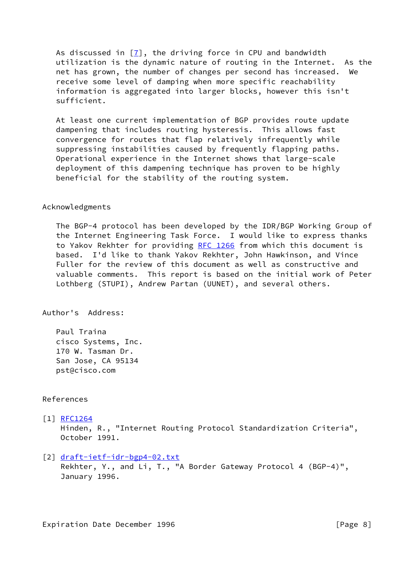As discussed in  $[7]$  $[7]$ , the driving force in CPU and bandwidth utilization is the dynamic nature of routing in the Internet. As the net has grown, the number of changes per second has increased. We receive some level of damping when more specific reachability information is aggregated into larger blocks, however this isn't sufficient.

 At least one current implementation of BGP provides route update dampening that includes routing hysteresis. This allows fast convergence for routes that flap relatively infrequently while suppressing instabilities caused by frequently flapping paths. Operational experience in the Internet shows that large-scale deployment of this dampening technique has proven to be highly beneficial for the stability of the routing system.

#### Acknowledgments

 The BGP-4 protocol has been developed by the IDR/BGP Working Group of the Internet Engineering Task Force. I would like to express thanks to Yakov Rekhter for providing [RFC 1266](https://datatracker.ietf.org/doc/pdf/rfc1266) from which this document is based. I'd like to thank Yakov Rekhter, John Hawkinson, and Vince Fuller for the review of this document as well as constructive and valuable comments. This report is based on the initial work of Peter Lothberg (STUPI), Andrew Partan (UUNET), and several others.

Author's Address:

 Paul Traina cisco Systems, Inc. 170 W. Tasman Dr. San Jose, CA 95134 pst@cisco.com

# References

<span id="page-8-0"></span>[1] [RFC1264](https://datatracker.ietf.org/doc/pdf/rfc1264)

 Hinden, R., "Internet Routing Protocol Standardization Criteria", October 1991.

<span id="page-8-1"></span>[2] [draft-ietf-idr-bgp4-02.txt](https://datatracker.ietf.org/doc/pdf/draft-ietf-idr-bgp4-02.txt)

 Rekhter, Y., and Li, T., "A Border Gateway Protocol 4 (BGP-4)", January 1996.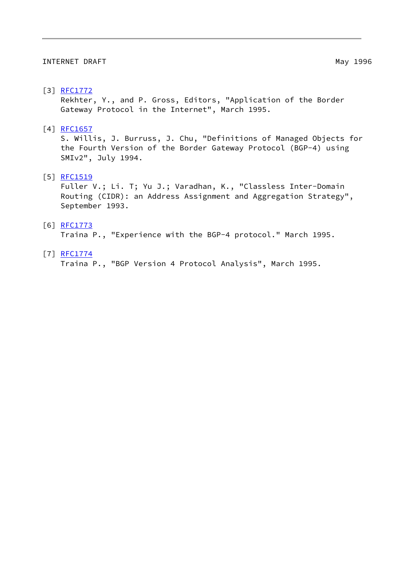#### INTERNET DRAFT NAMEL AND THE SERVICE OF THE MAIL AND MAY 1996

## <span id="page-9-1"></span>[3] [RFC1772](https://datatracker.ietf.org/doc/pdf/rfc1772)

 Rekhter, Y., and P. Gross, Editors, "Application of the Border Gateway Protocol in the Internet", March 1995.

# <span id="page-9-2"></span>[4] [RFC1657](https://datatracker.ietf.org/doc/pdf/rfc1657)

 S. Willis, J. Burruss, J. Chu, "Definitions of Managed Objects for the Fourth Version of the Border Gateway Protocol (BGP-4) using SMIv2", July 1994.

## <span id="page-9-0"></span>[5] [RFC1519](https://datatracker.ietf.org/doc/pdf/rfc1519)

 Fuller V.; Li. T; Yu J.; Varadhan, K., "Classless Inter-Domain Routing (CIDR): an Address Assignment and Aggregation Strategy", September 1993.

## [6] [RFC1773](https://datatracker.ietf.org/doc/pdf/rfc1773)

Traina P., "Experience with the BGP-4 protocol." March 1995.

## <span id="page-9-3"></span>[7] [RFC1774](https://datatracker.ietf.org/doc/pdf/rfc1774)

Traina P., "BGP Version 4 Protocol Analysis", March 1995.